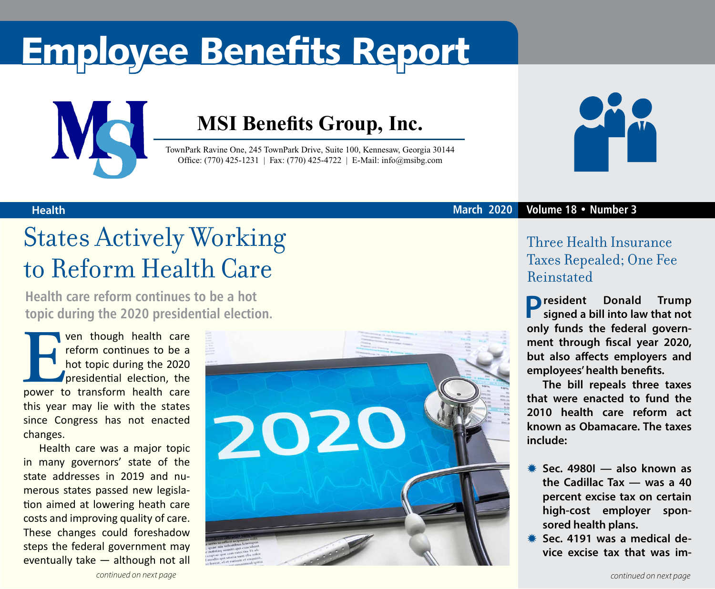# Employee Benefits Report



### **MSI Benefits Group, Inc.**

TownPark Ravine One, 245 TownPark Drive, Suite 100, Kennesaw, Georgia 30144 Office: (770) 425-1231 | Fax: (770) 425-4722 | E-Mail: info@msibg.com



### **Health March 2020 Volume 18 • Number 3**

## States Actively Working to Reform Health Care

**Health care reform continues to be a hot topic during the 2020 presidential election.**

**EVEN THE CONFIDENT VEN THE CONFIDENTI**<br>
power to transform health care<br>
power to transform health care reform continues to be a hot topic during the 2020 presidential election, the this year may lie with the states since Congress has not enacted changes.

Health care was a major topic in many governors' state of the state addresses in 2019 and numerous states passed new legislation aimed at lowering heath care costs and improving quality of care. These changes could foreshadow steps the federal government may eventually take — although not all



### Three Health Insurance Taxes Repealed; One Fee Reinstated

**President Donald Trump signed a bill into law that not only funds the federal government through fiscal year 2020, but also affects employers and employees' health benefits.**

**The bill repeals three taxes that were enacted to fund the 2010 health care reform act known as Obamacare. The taxes include:**

- Y **Sec. 4980I also known as the Cadillac Tax — was a 40 percent excise tax on certain high-cost employer sponsored health plans.**
- **\** Sec. 4191 was a medical de**vice excise tax that was im-**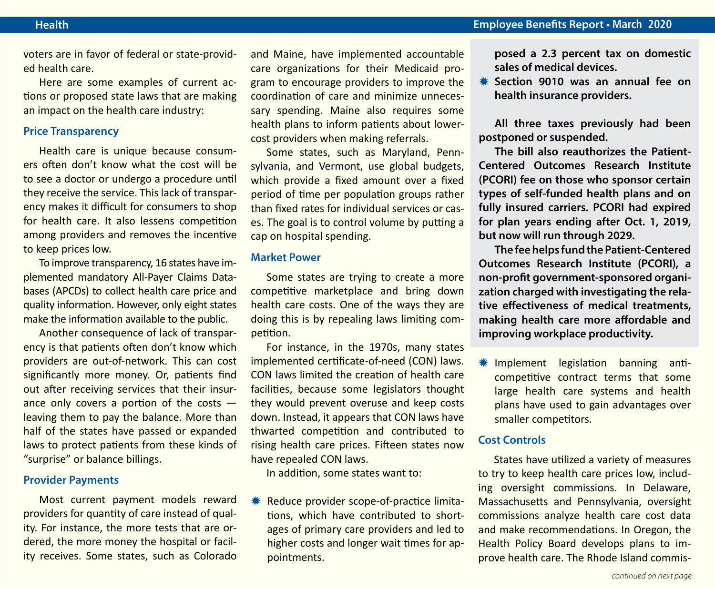voters are in favor of federal or state-provided health care.

Here are some examples of current actions or proposed state laws that are making an impact on the health care industry:

### **Price Transparency**

Health care is unique because consumers often don't know what the cost will be to see a doctor or undergo a procedure until they receive the service. This lack of transparency makes it difficult for consumers to shop for health care. It also lessens competition among providers and removes the incentive to keep prices low.

To improve transparency, 16 states have implemented mandatory All-Payer Claims Databases (APCDs) to collect health care price and quality information. However, only eight states make the information available to the public.

Another consequence of lack of transparency is that patients often don't know which providers are out-of-network. This can cost significantly more money. Or, patients find out after receiving services that their insurance only covers a portion of the costs leaving them to pay the balance. More than half of the states have passed or expanded laws to protect patients from these kinds of "surprise" or balance billings.

#### **Provider Payments**

Most current payment models reward providers for quantity of care instead of quality. For instance, the more tests that are ordered, the more money the hospital or facility receives. Some states, such as Colorado and Maine, have implemented accountable care organizations for their Medicaid program to encourage providers to improve the coordination of care and minimize unnecessary spending. Maine also requires some health plans to inform patients about lowercost providers when making referrals.

Some states, such as Maryland, Pennsylvania, and Vermont, use global budgets, which provide a fixed amount over a fixed period of time per population groups rather than fixed rates for individual services or cases. The goal is to control volume by putting a cap on hospital spending.

### **Market Power**

Some states are trying to create a more competitive marketplace and bring down health care costs. One of the ways they are doing this is by repealing laws limiting competition.

For instance, in the 1970s, many states implemented certificate-of-need (CON) laws. CON laws limited the creation of health care facilities, because some legislators thought they would prevent overuse and keep costs down. Instead, it appears that CON laws have thwarted competition and contributed to rising health care prices. Fifteen states now have repealed CON laws.

In addition, some states want to:

Reduce provider scope-of-practice limitations, which have contributed to shortages of primary care providers and led to higher costs and longer wait times for appointments.

**posed a 2.3 percent tax on domestic sales of medical devices.**

Y **Section 9010 was an annual fee on health insurance providers.**

**All three taxes previously had been postponed or suspended.**

**The bill also reauthorizes the Patient-Centered Outcomes Research Institute (PCORI) fee on those who sponsor certain types of self-funded health plans and on fully insured carriers. PCORI had expired for plan years ending after Oct. 1, 2019, but now will run through 2029.**

**The fee helps fund the Patient-Centered Outcomes Research Institute (PCORI), a non-profit government-sponsored organization charged with investigating the relative effectiveness of medical treatments, making health care more affordable and improving workplace productivity.** 

\* Implement legislation banning anticompetitive contract terms that some large health care systems and health plans have used to gain advantages over smaller competitors.

### **Cost Controls**

States have utilized a variety of measures to try to keep health care prices low, including oversight commissions. In Delaware, Massachusetts and Pennsylvania, oversight commissions analyze health care cost data and make recommendations. In Oregon, the Health Policy Board develops plans to improve health care. The Rhode Island commis-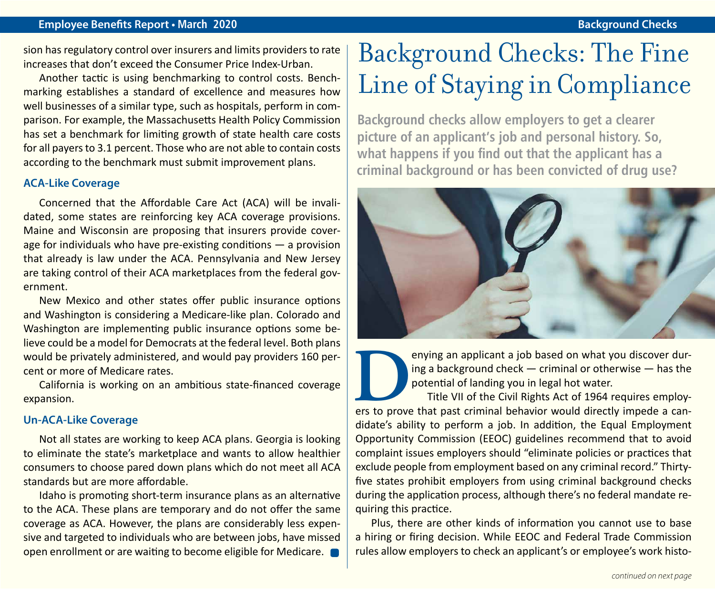### **Employee Benefits Report • March 2020 Background Checks**

sion has regulatory control over insurers and limits providers to rate increases that don't exceed the Consumer Price Index-Urban.

Another tactic is using benchmarking to control costs. Benchmarking establishes a standard of excellence and measures how well businesses of a similar type, such as hospitals, perform in comparison. For example, the Massachusetts Health Policy Commission has set a benchmark for limiting growth of state health care costs for all payers to 3.1 percent. Those who are not able to contain costs according to the benchmark must submit improvement plans.

### **ACA-Like Coverage**

Concerned that the Affordable Care Act (ACA) will be invalidated, some states are reinforcing key ACA coverage provisions. Maine and Wisconsin are proposing that insurers provide coverage for individuals who have pre-existing conditions — a provision that already is law under the ACA. Pennsylvania and New Jersey are taking control of their ACA marketplaces from the federal government.

New Mexico and other states offer public insurance options and Washington is considering a Medicare-like plan. Colorado and Washington are implementing public insurance options some believe could be a model for Democrats at the federal level. Both plans would be privately administered, and would pay providers 160 percent or more of Medicare rates.

California is working on an ambitious state-financed coverage expansion.

### **Un-ACA-Like Coverage**

Not all states are working to keep ACA plans. Georgia is looking to eliminate the state's marketplace and wants to allow healthier consumers to choose pared down plans which do not meet all ACA standards but are more affordable.

Idaho is promoting short-term insurance plans as an alternative to the ACA. These plans are temporary and do not offer the same coverage as ACA. However, the plans are considerably less expensive and targeted to individuals who are between jobs, have missed open enrollment or are waiting to become eligible for Medicare.

## Background Checks: The Fine Line of Staying in Compliance

**Background checks allow employers to get a clearer picture of an applicant's job and personal history. So, what happens if you find out that the applicant has a criminal background or has been convicted of drug use?**



**DENDIFFERENT A** job based on what you discover during a background check — criminal or otherwise — has the potential of landing you in legal hot water.<br>Title VII of the Civil Rights Act of 1964 requires employers to prove ing a background check — criminal or otherwise — has the potential of landing you in legal hot water.

Title VII of the Civil Rights Act of 1964 requires employdidate's ability to perform a job. In addition, the Equal Employment Opportunity Commission (EEOC) guidelines recommend that to avoid complaint issues employers should "eliminate policies or practices that exclude people from employment based on any criminal record." Thirtyfive states prohibit employers from using criminal background checks during the application process, although there's no federal mandate requiring this practice.

Plus, there are other kinds of information you cannot use to base a hiring or firing decision. While EEOC and Federal Trade Commission rules allow employers to check an applicant's or employee's work histo-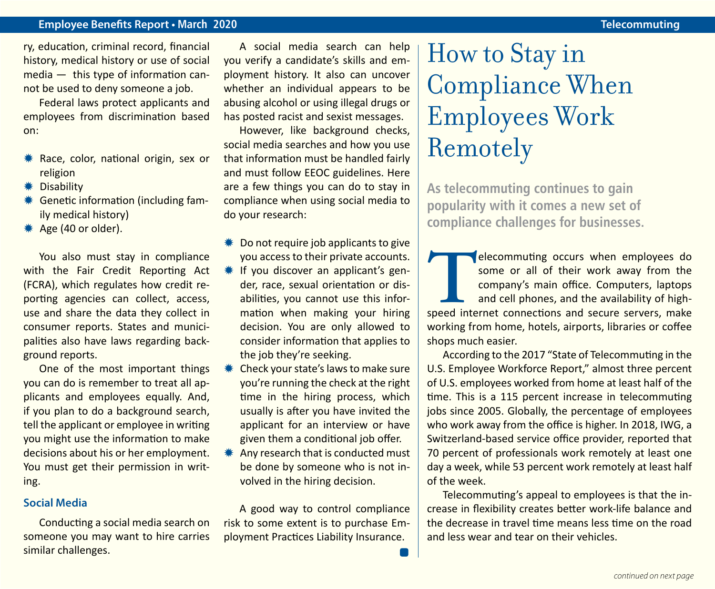### **Employee Benefits Report • March 2020 Telecommuting**

ry, education, criminal record, financial history, medical history or use of social media — this type of information cannot be used to deny someone a job.

Federal laws protect applicants and employees from discrimination based on:

- **\* Race, color, national origin, sex or** religion
- **\*** Disability
- **\*\*** Genetic information (including family medical history)
- \* Age (40 or older).

You also must stay in compliance with the Fair Credit Reporting Act (FCRA), which regulates how credit reporting agencies can collect, access, use and share the data they collect in consumer reports. States and municipalities also have laws regarding background reports.

One of the most important things you can do is remember to treat all applicants and employees equally. And, if you plan to do a background search, tell the applicant or employee in writing you might use the information to make decisions about his or her employment. You must get their permission in writing.

### **Social Media**

Conducting a social media search on someone you may want to hire carries similar challenges.

A social media search can help you verify a candidate's skills and employment history. It also can uncover whether an individual appears to be abusing alcohol or using illegal drugs or has posted racist and sexist messages.

However, like background checks, social media searches and how you use that information must be handled fairly and must follow EEOC guidelines. Here are a few things you can do to stay in compliance when using social media to do your research:

- $*$  Do not require job applicants to give you access to their private accounts.
- $*$  If you discover an applicant's gender, race, sexual orientation or disabilities, you cannot use this information when making your hiring decision. You are only allowed to consider information that applies to the job they're seeking.
- $*$  Check your state's laws to make sure you're running the check at the right time in the hiring process, which usually is after you have invited the applicant for an interview or have given them a conditional job offer.
- Any research that is conducted must be done by someone who is not involved in the hiring decision.

A good way to control compliance risk to some extent is to purchase Employment Practices Liability Insurance.

### How to Stay in Compliance When Employees Work Remotely

**As telecommuting continues to gain popularity with it comes a new set of compliance challenges for businesses.**

**THE ENERGY CONFIDENT SPEED SOME OF SHEAD SPEED SPEED SPEED SPEED SPEED SPEED SPEED SPEED SPEED SPEED SPEED SPEED SPEED SPEED SPEED SPEED SPEED SPEED SPEED SPEED SPEED SPEED SPEED SPEED SPEED SPEED SPEED SPEED SPEED SPEED** some or all of their work away from the company's main office. Computers, laptops and cell phones, and the availability of highworking from home, hotels, airports, libraries or coffee shops much easier.

According to the 2017 "State of Telecommuting in the U.S. Employee Workforce Report," almost three percent of U.S. employees worked from home at least half of the time. This is a 115 percent increase in telecommuting jobs since 2005. Globally, the percentage of employees who work away from the office is higher. In 2018, IWG, a Switzerland-based service office provider, reported that 70 percent of professionals work remotely at least one day a week, while 53 percent work remotely at least half of the week.

Telecommuting's appeal to employees is that the increase in flexibility creates better work-life balance and the decrease in travel time means less time on the road and less wear and tear on their vehicles.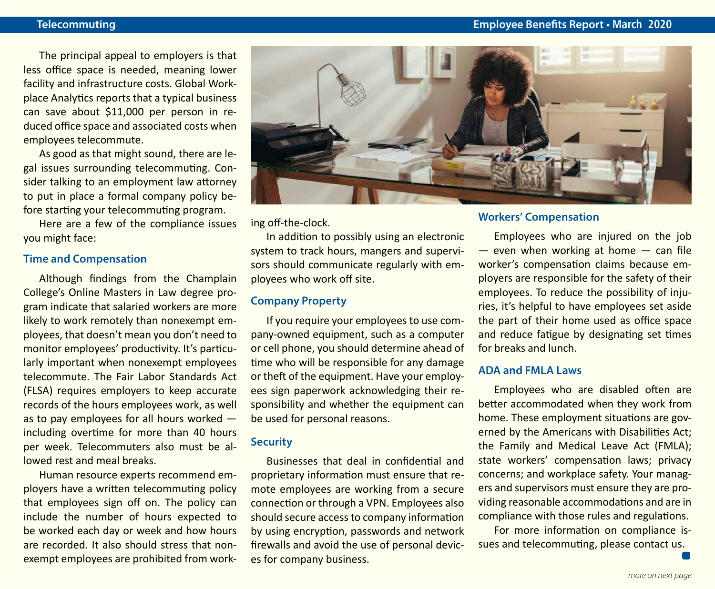The principal appeal to employers is that less office space is needed, meaning lower facility and infrastructure costs. Global Workplace Analytics reports that a typical business can save about \$11,000 per person in reduced office space and associated costs when employees telecommute.

As good as that might sound, there are legal issues surrounding telecommuting. Consider talking to an employment law attorney to put in place a formal company policy before starting your telecommuting program.

Here are a few of the compliance issues you might face:

### **Time and Compensation**

Although findings from the Champlain College's Online Masters in Law degree program indicate that salaried workers are more likely to work remotely than nonexempt employees, that doesn't mean you don't need to monitor employees' productivity. It's particularly important when nonexempt employees telecommute. The Fair Labor Standards Act (FLSA) requires employers to keep accurate records of the hours employees work, as well as to pay employees for all hours worked including overtime for more than 40 hours per week. Telecommuters also must be allowed rest and meal breaks.

Human resource experts recommend employers have a written telecommuting policy that employees sign off on. The policy can include the number of hours expected to be worked each day or week and how hours are recorded. It also should stress that nonexempt employees are prohibited from work-



ing off-the-clock.

In addition to possibly using an electronic system to track hours, mangers and supervisors should communicate regularly with employees who work off site.

### **Company Property**

If you require your employees to use company-owned equipment, such as a computer or cell phone, you should determine ahead of time who will be responsible for any damage or theft of the equipment. Have your employees sign paperwork acknowledging their responsibility and whether the equipment can be used for personal reasons.

### **Security**

Businesses that deal in confidential and proprietary information must ensure that remote employees are working from a secure connection or through a VPN. Employees also should secure access to company information by using encryption, passwords and network firewalls and avoid the use of personal devices for company business.

### **Workers' Compensation**

Employees who are injured on the job  $-$  even when working at home  $-$  can file worker's compensation claims because employers are responsible for the safety of their employees. To reduce the possibility of injuries, it's helpful to have employees set aside the part of their home used as office space and reduce fatigue by designating set times for breaks and lunch.

### **ADA and FMLA Laws**

Employees who are disabled often are better accommodated when they work from home. These employment situations are governed by the Americans with Disabilities Act; the Family and Medical Leave Act (FMLA); state workers' compensation laws; privacy concerns; and workplace safety. Your managers and supervisors must ensure they are providing reasonable accommodations and are in compliance with those rules and regulations.

For more information on compliance issues and telecommuting, please contact us.